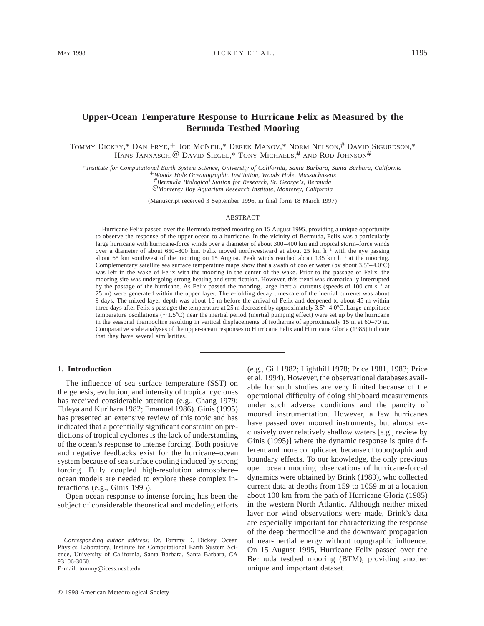# **Upper-Ocean Temperature Response to Hurricane Felix as Measured by the Bermuda Testbed Mooring**

TOMMY DICKEY,\* DAN FRYE,<sup>+</sup> JOE MCNEIL,\* DEREK MANOV,\* NORM NELSON,# DAVID SIGURDSON,\* HANS JANNASCH, @ DAVID SIEGEL,\* TONY MICHAELS,# AND ROD JOHNSON#

\**Institute for Computational Earth System Science, University of California, Santa Barbara, Santa Barbara, California*

1*Woods Hole Oceanographic Institution, Woods Hole, Massachusetts*

#*Bermuda Biological Station for Research, St. George's, Bermuda*

@*Monterey Bay Aquarium Research Institute, Monterey, California*

(Manuscript received 3 September 1996, in final form 18 March 1997)

#### ABSTRACT

Hurricane Felix passed over the Bermuda testbed mooring on 15 August 1995, providing a unique opportunity to observe the response of the upper ocean to a hurricane. In the vicinity of Bermuda, Felix was a particularly large hurricane with hurricane-force winds over a diameter of about 300–400 km and tropical storm–force winds over a diameter of about 650–800 km. Felix moved northwestward at about 25 km  $h^{-1}$  with the eye passing about 65 km southwest of the mooring on 15 August. Peak winds reached about 135 km h<sup>-1</sup> at the mooring. Complementary satellite sea surface temperature maps show that a swath of cooler water (by about  $3.5^{\circ} - 4.0^{\circ}$ C) was left in the wake of Felix with the mooring in the center of the wake. Prior to the passage of Felix, the mooring site was undergoing strong heating and stratification. However, this trend was dramatically interrupted by the passage of the hurricane. As Felix passed the mooring, large inertial currents (speeds of 100 cm  $s^{-1}$  at 25 m) were generated within the upper layer. The *e*-folding decay timescale of the inertial currents was about 9 days. The mixed layer depth was about 15 m before the arrival of Felix and deepened to about 45 m within three days after Felix's passage; the temperature at 25 m decreased by approximately  $3.5^{\circ} - 4.0^{\circ}$ C. Large-amplitude temperature oscillations ( $\sim$ 1.5°C) near the inertial period (inertial pumping effect) were set up by the hurricane in the seasonal thermocline resulting in vertical displacements of isotherms of approximately 15 m at 60–70 m. Comparative scale analyses of the upper-ocean responses to Hurricane Felix and Hurricane Gloria (1985) indicate that they have several similarities.

### **1. Introduction**

The influence of sea surface temperature (SST) on the genesis, evolution, and intensity of tropical cyclones has received considerable attention (e.g., Chang 1979; Tuleya and Kurihara 1982; Emanuel 1986). Ginis (1995) has presented an extensive review of this topic and has indicated that a potentially significant constraint on predictions of tropical cyclones is the lack of understanding of the ocean's response to intense forcing. Both positive and negative feedbacks exist for the hurricane–ocean system because of sea surface cooling induced by strong forcing. Fully coupled high-resolution atmosphere– ocean models are needed to explore these complex interactions (e.g., Ginis 1995).

Open ocean response to intense forcing has been the subject of considerable theoretical and modeling efforts

E-mail: tommy@icess.ucsb.edu

(e.g., Gill 1982; Lighthill 1978; Price 1981, 1983; Price et al. 1994). However, the observational databases available for such studies are very limited because of the operational difficulty of doing shipboard measurements under such adverse conditions and the paucity of moored instrumentation. However, a few hurricanes have passed over moored instruments, but almost exclusively over relatively shallow waters [e.g., review by Ginis (1995)] where the dynamic response is quite different and more complicated because of topographic and boundary effects. To our knowledge, the only previous open ocean mooring observations of hurricane-forced dynamics were obtained by Brink (1989), who collected current data at depths from 159 to 1059 m at a location about 100 km from the path of Hurricane Gloria (1985) in the western North Atlantic. Although neither mixed layer nor wind observations were made, Brink's data are especially important for characterizing the response of the deep thermocline and the downward propagation of near-inertial energy without topographic influence. On 15 August 1995, Hurricane Felix passed over the Bermuda testbed mooring (BTM), providing another unique and important dataset.

*Corresponding author address:* Dr. Tommy D. Dickey, Ocean Physics Laboratory, Institute for Computational Earth System Science, University of California, Santa Barbara, Santa Barbara, CA 93106-3060.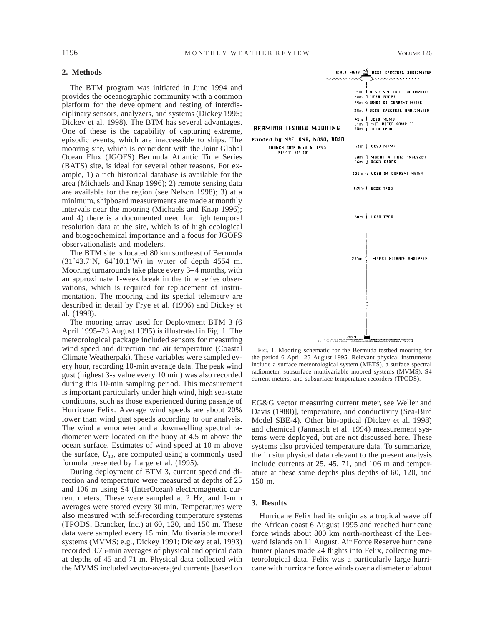## **2. Methods**

The BTM program was initiated in June 1994 and provides the oceanographic community with a common platform for the development and testing of interdisciplinary sensors, analyzers, and systems (Dickey 1995; Dickey et al. 1998). The BTM has several advantages. One of these is the capability of capturing extreme, episodic events, which are inaccessible to ships. The mooring site, which is coincident with the Joint Global Ocean Flux (JGOFS) Bermuda Atlantic Time Series (BATS) site, is ideal for several other reasons. For example, 1) a rich historical database is available for the area (Michaels and Knap 1996); 2) remote sensing data are available for the region (see Nelson 1998); 3) at a minimum, shipboard measurements are made at monthly intervals near the mooring (Michaels and Knap 1996); and 4) there is a documented need for high temporal resolution data at the site, which is of high ecological and biogeochemical importance and a focus for JGOFS observationalists and modelers.

The BTM site is located 80 km southeast of Bermuda  $(31^{\circ}43.7^{\prime}N, 64^{\circ}10.1^{\prime}W)$  in water of depth 4554 m. Mooring turnarounds take place every 3–4 months, with an approximate 1-week break in the time series observations, which is required for replacement of instrumentation. The mooring and its special telemetry are described in detail by Frye et al. (1996) and Dickey et al. (1998).

The mooring array used for Deployment BTM 3 (6 April 1995–23 August 1995) is illustrated in Fig. 1. The meteorological package included sensors for measuring wind speed and direction and air temperature (Coastal Climate Weatherpak). These variables were sampled every hour, recording 10-min average data. The peak wind gust (highest 3-s value every 10 min) was also recorded during this 10-min sampling period. This measurement is important particularly under high wind, high sea-state conditions, such as those experienced during passage of Hurricane Felix. Average wind speeds are about 20% lower than wind gust speeds according to our analysis. The wind anemometer and a downwelling spectral radiometer were located on the buoy at 4.5 m above the ocean surface. Estimates of wind speed at 10 m above the surface,  $U_{10}$ , are computed using a commonly used formula presented by Large et al. (1995).

During deployment of BTM 3, current speed and direction and temperature were measured at depths of 25 and 106 m using S4 (InterOcean) electromagnetic current meters. These were sampled at 2 Hz, and 1-min averages were stored every 30 min. Temperatures were also measured with self-recording temperature systems (TPODS, Brancker, Inc.) at 60, 120, and 150 m. These data were sampled every 15 min. Multivariable moored systems (MVMS; e.g., Dickey 1991; Dickey et al. 1993) recorded 3.75-min averages of physical and optical data at depths of 45 and 71 m. Physical data collected with the MVMS included vector-averaged currents [based on



FIG. 1. Mooring schematic for the Bermuda testbed mooring for the period 6 April–25 August 1995. Relevant physical instruments include a surface meteorological system (METS), a surface spectral radiometer, subsurface multivariable moored systems (MVMS), S4 current meters, and subsurface temperature recorders (TPODS).

EG&G vector measuring current meter, see Weller and Davis (1980)], temperature, and conductivity (Sea-Bird Model SBE-4). Other bio-optical (Dickey et al. 1998) and chemical (Jannasch et al. 1994) measurement systems were deployed, but are not discussed here. These systems also provided temperature data. To summarize, the in situ physical data relevant to the present analysis include currents at 25, 45, 71, and 106 m and temperature at these same depths plus depths of 60, 120, and 150 m.

## **3. Results**

Hurricane Felix had its origin as a tropical wave off the African coast 6 August 1995 and reached hurricane force winds about 800 km north-northeast of the Leeward Islands on 11 August. Air Force Reserve hurricane hunter planes made 24 flights into Felix, collecting meteorological data. Felix was a particularly large hurricane with hurricane force winds over a diameter of about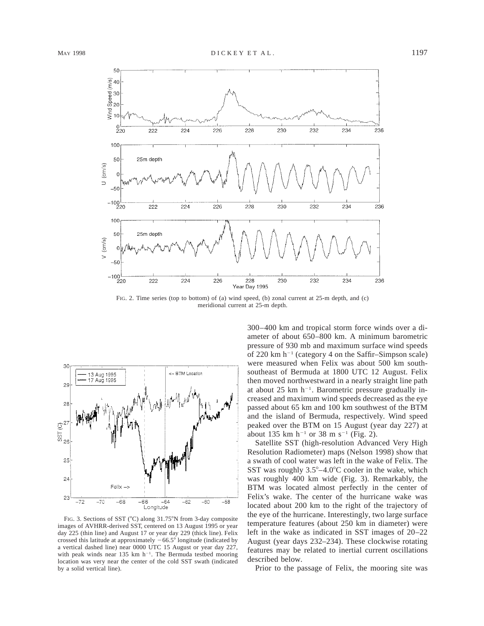

FIG. 2. Time series (top to bottom) of (a) wind speed, (b) zonal current at 25-m depth, and (c) meridional current at 25-m depth.



FIG. 3. Sections of SST (°C) along 31.75°N from 3-day composite images of AVHRR-derived SST, centered on 13 August 1995 or year day 225 (thin line) and August 17 or year day 229 (thick line). Felix crossed this latitude at approximately  $-66.5^{\circ}$  longitude (indicated by a vertical dashed line) near 0000 UTC 15 August or year day 227, with peak winds near 135 km  $h^{-1}$ . The Bermuda testbed mooring location was very near the center of the cold SST swath (indicated by a solid vertical line).

300–400 km and tropical storm force winds over a diameter of about 650–800 km. A minimum barometric pressure of 930 mb and maximum surface wind speeds of 220 km  $h^{-1}$  (category 4 on the Saffir–Simpson scale) were measured when Felix was about 500 km southsoutheast of Bermuda at 1800 UTC 12 August. Felix then moved northwestward in a nearly straight line path at about 25 km  $h^{-1}$ . Barometric pressure gradually increased and maximum wind speeds decreased as the eye passed about 65 km and 100 km southwest of the BTM and the island of Bermuda, respectively. Wind speed peaked over the BTM on 15 August (year day 227) at about 135 km  $h^{-1}$  or 38 m s<sup>-1</sup> (Fig. 2).

Satellite SST (high-resolution Advanced Very High Resolution Radiometer) maps (Nelson 1998) show that a swath of cool water was left in the wake of Felix. The SST was roughly  $3.5^{\circ} - 4.0^{\circ}$ C cooler in the wake, which was roughly 400 km wide (Fig. 3). Remarkably, the BTM was located almost perfectly in the center of Felix's wake. The center of the hurricane wake was located about 200 km to the right of the trajectory of the eye of the hurricane. Interestingly, two large surface temperature features (about 250 km in diameter) were left in the wake as indicated in SST images of 20–22 August (year days 232–234). These clockwise rotating features may be related to inertial current oscillations described below.

Prior to the passage of Felix, the mooring site was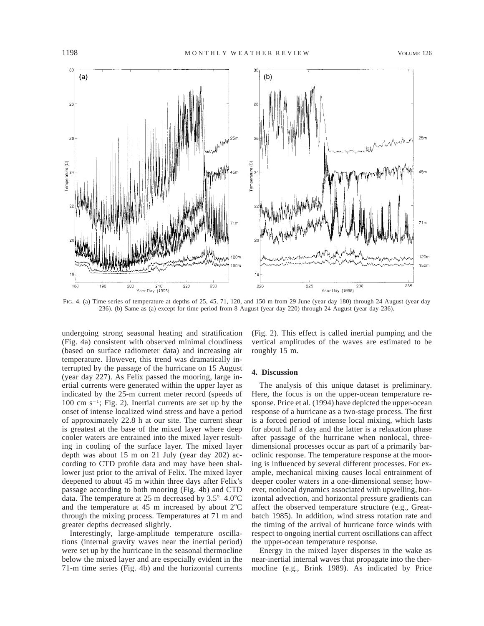

FIG. 4. (a) Time series of temperature at depths of 25, 45, 71, 120, and 150 m from 29 June (year day 180) through 24 August (year day 236). (b) Same as (a) except for time period from 8 August (year day 220) through 24 August (year day 236).

undergoing strong seasonal heating and stratification (Fig. 4a) consistent with observed minimal cloudiness (based on surface radiometer data) and increasing air temperature. However, this trend was dramatically interrupted by the passage of the hurricane on 15 August (year day 227). As Felix passed the mooring, large inertial currents were generated within the upper layer as indicated by the 25-m current meter record (speeds of 100 cm  $s^{-1}$ ; Fig. 2). Inertial currents are set up by the onset of intense localized wind stress and have a period of approximately 22.8 h at our site. The current shear is greatest at the base of the mixed layer where deep cooler waters are entrained into the mixed layer resulting in cooling of the surface layer. The mixed layer depth was about 15 m on 21 July (year day 202) according to CTD profile data and may have been shallower just prior to the arrival of Felix. The mixed layer deepened to about 45 m within three days after Felix's passage according to both mooring (Fig. 4b) and CTD data. The temperature at 25 m decreased by  $3.5^{\circ} - 4.0^{\circ}C$ and the temperature at 45 m increased by about  $2^{\circ}$ C through the mixing process. Temperatures at 71 m and greater depths decreased slightly.

Interestingly, large-amplitude temperature oscillations (internal gravity waves near the inertial period) were set up by the hurricane in the seasonal thermocline below the mixed layer and are especially evident in the 71-m time series (Fig. 4b) and the horizontal currents

(Fig. 2). This effect is called inertial pumping and the vertical amplitudes of the waves are estimated to be roughly 15 m.

# **4. Discussion**

The analysis of this unique dataset is preliminary. Here, the focus is on the upper-ocean temperature response. Price et al. (1994) have depicted the upper-ocean response of a hurricane as a two-stage process. The first is a forced period of intense local mixing, which lasts for about half a day and the latter is a relaxation phase after passage of the hurricane when nonlocal, threedimensional processes occur as part of a primarily baroclinic response. The temperature response at the mooring is influenced by several different processes. For example, mechanical mixing causes local entrainment of deeper cooler waters in a one-dimensional sense; however, nonlocal dynamics associated with upwelling, horizontal advection, and horizontal pressure gradients can affect the observed temperature structure (e.g., Greatbatch 1985). In addition, wind stress rotation rate and the timing of the arrival of hurricane force winds with respect to ongoing inertial current oscillations can affect the upper-ocean temperature response.

Energy in the mixed layer disperses in the wake as near-inertial internal waves that propagate into the thermocline (e.g., Brink 1989). As indicated by Price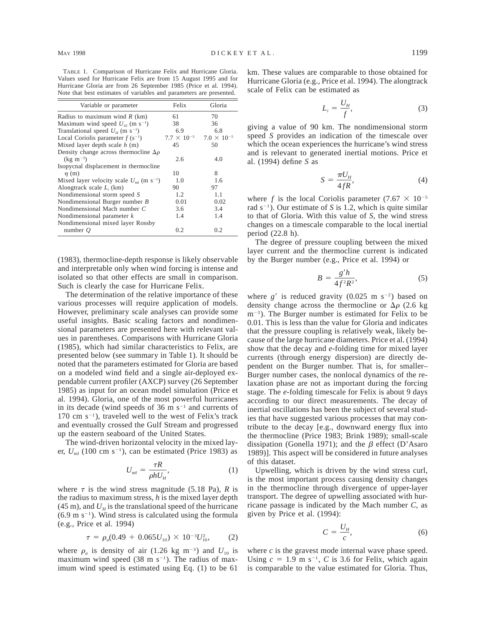TABLE 1. Comparison of Hurricane Felix and Hurricane Gloria. Values used for Hurricane Felix are from 15 August 1995 and for Hurricane Gloria are from 26 September 1985 (Price et al. 1994). Note that best estimates of variables and parameters are presented.

| Variable or parameter                                           | Felix | Gloria                                    |
|-----------------------------------------------------------------|-------|-------------------------------------------|
| Radius to maximum wind $R$ (km)                                 | 61    | 70                                        |
| Maximum wind speed $U_{10}$ (m s <sup>-1</sup> )                | 38    | 36                                        |
| Translational speed $U_H$ (m s <sup>-1</sup> )                  | 6.9   | 6.8                                       |
| Local Coriolis parameter $f(s^{-1})$                            |       | $7.7 \times 10^{-5}$ $7.0 \times 10^{-5}$ |
| Mixed layer depth scale $h(m)$                                  | 45    | 50                                        |
| Density change across thermocline $\Delta \rho$                 |       |                                           |
| $(kg \; m^{-3})$                                                | 2.6   | 4.0                                       |
| Isopycnal displacement in thermocline                           |       |                                           |
| $\eta$ (m)                                                      | 10    | 8                                         |
| Mixed layer velocity scale $U_{\text{ml}}$ (m s <sup>-1</sup> ) | 1.0   | 1.6                                       |
| Alongtrack scale $L_i$ (km)                                     | 90    | 97                                        |
| Nondimensional storm speed S                                    | 1.2   | 1.1                                       |
| Nondimensional Burger number B                                  | 0.01  | 0.02                                      |
| Nondimensional Mach number C                                    | 3.6   | 3.4                                       |
| Nondimensional parameter $k$                                    | 1.4   | 1.4                                       |
| Nondimensional mixed layer Rossby                               |       |                                           |
| number $Q$                                                      | 0.2   | 0.2                                       |

(1983), thermocline-depth response is likely observable and interpretable only when wind forcing is intense and isolated so that other effects are small in comparison. Such is clearly the case for Hurricane Felix.

The determination of the relative importance of these various processes will require application of models. However, preliminary scale analyses can provide some useful insights. Basic scaling factors and nondimensional parameters are presented here with relevant values in parentheses. Comparisons with Hurricane Gloria (1985), which had similar characteristics to Felix, are presented below (see summary in Table 1). It should be noted that the parameters estimated for Gloria are based on a modeled wind field and a single air-deployed expendable current profiler (AXCP) survey (26 September 1985) as input for an ocean model simulation (Price et al. 1994). Gloria, one of the most powerful hurricanes in its decade (wind speeds of 36 m  $s^{-1}$  and currents of  $170 \text{ cm s}^{-1}$ , traveled well to the west of Felix's track and eventually crossed the Gulf Stream and progressed up the eastern seaboard of the United States.

The wind-driven horizontal velocity in the mixed layer,  $U_{\text{ml}}$  (100 cm s<sup>-1</sup>), can be estimated (Price 1983) as

$$
U_{\rm ml} = \frac{\tau R}{\rho h U_H},\tag{1}
$$

where  $\tau$  is the wind stress magnitude (5.18 Pa), *R* is the radius to maximum stress, *h* is the mixed layer depth  $(45 \text{ m})$ , and  $U_H$  is the translational speed of the hurricane  $(6.9 \text{ m s}^{-1})$ . Wind stress is calculated using the formula (e.g., Price et al. 1994)

$$
\tau = \rho_a(0.49 + 0.065U_{10}) \times 10^{-3}U_{10}^2, \tag{2}
$$

where  $\rho_a$  is density of air (1.26 kg m<sup>-3</sup>) and  $U_{10}$  is maximum wind speed (38 m  $s^{-1}$ ). The radius of maximum wind speed is estimated using Eq. (1) to be 61 km. These values are comparable to those obtained for Hurricane Gloria (e.g., Price et al. 1994). The alongtrack scale of Felix can be estimated as

$$
L_i = \frac{U_H}{f},\tag{3}
$$

giving a value of 90 km. The nondimensional storm speed *S* provides an indication of the timescale over which the ocean experiences the hurricane's wind stress and is relevant to generated inertial motions. Price et al. (1994) define *S* as

$$
S = \frac{\pi U_H}{4fR},\tag{4}
$$

where *f* is the local Coriolis parameter  $(7.67 \times 10^{-5})$ rad  $s^{-1}$ ). Our estimate of *S* is 1.2, which is quite similar to that of Gloria. With this value of *S,* the wind stress changes on a timescale comparable to the local inertial period (22.8 h).

The degree of pressure coupling between the mixed layer current and the thermocline current is indicated by the Burger number (e.g., Price et al. 1994) or

$$
B = \frac{g'h}{4f^2R^2},\tag{5}
$$

where  $g'$  is reduced gravity (0.025 m s<sup>-2</sup>) based on density change across the thermocline or  $\Delta \rho$  (2.6 kg)  $m^{-3}$ ). The Burger number is estimated for Felix to be 0.01. This is less than the value for Gloria and indicates that the pressure coupling is relatively weak, likely because of the large hurricane diameters. Price et al. (1994) show that the decay and *e*-folding time for mixed layer currents (through energy dispersion) are directly dependent on the Burger number. That is, for smaller– Burger number cases, the nonlocal dynamics of the relaxation phase are not as important during the forcing stage. The *e*-folding timescale for Felix is about 9 days according to our direct measurements. The decay of inertial oscillations has been the subject of several studies that have suggested various processes that may contribute to the decay [e.g., downward energy flux into the thermocline (Price 1983; Brink 1989); small-scale dissipation (Gonella 1971); and the  $\beta$  effect (D'Asaro 1989)]. This aspect will be considered in future analyses of this dataset.

Upwelling, which is driven by the wind stress curl, is the most important process causing density changes in the thermocline through divergence of upper-layer transport. The degree of upwelling associated with hurricane passage is indicated by the Mach number *C,* as given by Price et al. (1994):

$$
C = \frac{U_H}{c},\tag{6}
$$

where  $c$  is the gravest mode internal wave phase speed. Using  $c = 1.9$  m s<sup>-1</sup>, *C* is 3.6 for Felix, which again is comparable to the value estimated for Gloria. Thus,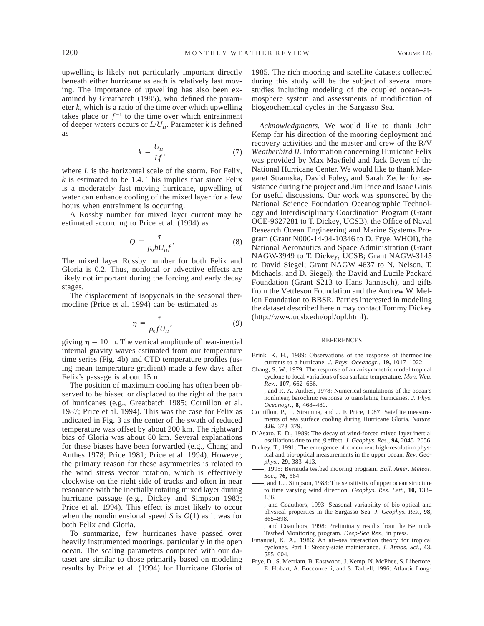upwelling is likely not particularly important directly beneath either hurricane as each is relatively fast moving. The importance of upwelling has also been examined by Greatbatch (1985), who defined the parameter *k,* which is a ratio of the time over which upwelling takes place or  $f^{-1}$  to the time over which entrainment of deeper waters occurs or  $L/U_H$ . Parameter *k* is defined as

$$
k = \frac{U_H}{Lf},\tag{7}
$$

where *L* is the horizontal scale of the storm. For Felix, *k* is estimated to be 1.4. This implies that since Felix is a moderately fast moving hurricane, upwelling of water can enhance cooling of the mixed layer for a few hours when entrainment is occurring.

A Rossby number for mixed layer current may be estimated according to Price et al. (1994) as

$$
Q = \frac{\tau}{\rho_0 h U_{H} f}.
$$
\n(8)

The mixed layer Rossby number for both Felix and Gloria is 0.2. Thus, nonlocal or advective effects are likely not important during the forcing and early decay stages.

The displacement of isopycnals in the seasonal thermocline (Price et al. 1994) can be estimated as

$$
\eta = \frac{\tau}{\rho_0 f U_H},\tag{9}
$$

giving  $\eta = 10$  m. The vertical amplitude of near-inertial internal gravity waves estimated from our temperature time series (Fig. 4b) and CTD temperature profiles (using mean temperature gradient) made a few days after Felix's passage is about 15 m.

The position of maximum cooling has often been observed to be biased or displaced to the right of the path of hurricanes (e.g., Greatbatch 1985; Cornillon et al. 1987; Price et al. 1994). This was the case for Felix as indicated in Fig. 3 as the center of the swath of reduced temperature was offset by about 200 km. The rightward bias of Gloria was about 80 km. Several explanations for these biases have been forwarded (e.g., Chang and Anthes 1978; Price 1981; Price et al. 1994). However, the primary reason for these asymmetries is related to the wind stress vector rotation, which is effectively clockwise on the right side of tracks and often in near resonance with the inertially rotating mixed layer during hurricane passage (e.g., Dickey and Simpson 1983; Price et al. 1994). This effect is most likely to occur when the nondimensional speed  $S$  is  $O(1)$  as it was for both Felix and Gloria.

To summarize, few hurricanes have passed over heavily instrumented moorings, particularly in the open ocean. The scaling parameters computed with our dataset are similar to those primarily based on modeling results by Price et al. (1994) for Hurricane Gloria of

1985. The rich mooring and satellite datasets collected during this study will be the subject of several more studies including modeling of the coupled ocean–atmosphere system and assessments of modification of biogeochemical cycles in the Sargasso Sea.

*Acknowledgments.* We would like to thank John Kemp for his direction of the mooring deployment and recovery activities and the master and crew of the R/V *Weatherbird II.* Information concerning Hurricane Felix was provided by Max Mayfield and Jack Beven of the National Hurricane Center. We would like to thank Margaret Stramska, David Foley, and Sarah Zedler for assistance during the project and Jim Price and Isaac Ginis for useful discussions. Our work was sponsored by the National Science Foundation Oceanographic Technology and Interdisciplinary Coordination Program (Grant OCE-9627281 to T. Dickey, UCSB), the Office of Naval Research Ocean Engineering and Marine Systems Program (Grant N000-14-94-10346 to D. Frye, WHOI), the National Aeronautics and Space Administration (Grant NAGW-3949 to T. Dickey, UCSB; Grant NAGW-3145 to David Siegel; Grant NAGW 4637 to N. Nelson, T. Michaels, and D. Siegel), the David and Lucile Packard Foundation (Grant S213 to Hans Jannasch), and gifts from the Vettleson Foundation and the Andrew W. Mellon Foundation to BBSR. Parties interested in modeling the dataset described herein may contact Tommy Dickey (http://www.ucsb.edu/opl/opl.html).

#### **REFERENCES**

- Brink, K. H., 1989: Observations of the response of thermocline currents to a hurricane. *J. Phys. Oceanogr.,* **19,** 1017–1022.
- Chang, S. W., 1979: The response of an axisymmetric model tropical cyclone to local variations of sea surface temperature. *Mon. Wea. Rev.,* **107,** 662–666.
- , and R. A. Anthes, 1978: Numerical simulations of the ocean's nonlinear, baroclinic response to translating hurricanes. *J. Phys. Oceanogr.,* **8,** 468–480.
- Cornillon, P., L. Stramma, and J. F. Price, 1987: Satellite measurements of sea surface cooling during Hurricane Gloria. *Nature,* **326,** 373–379.
- D'Asaro, E. D., 1989: The decay of wind-forced mixed layer inertial oscillations due to the  $\beta$  effect. *J. Geophys. Res.*, **94,** 2045–2056.
- Dickey, T., 1991: The emergence of concurrent high-resolution physical and bio-optical measurements in the upper ocean. *Rev. Geophys.,* **29,** 383–413.
- , 1995: Bermuda testbed mooring program. *Bull. Amer. Meteor. Soc.,* **76,** 584.
- , and J. J. Simpson, 1983: The sensitivity of upper ocean structure to time varying wind direction. *Geophys. Res. Lett.,* **10,** 133– 136.
- , and Coauthors, 1993: Seasonal variability of bio-optical and physical properties in the Sargasso Sea. *J. Geophys. Res.,* **98,** 865–898.
- , and Coauthors, 1998: Preliminary results from the Bermuda Testbed Monitoring program. *Deep-Sea Res.,* in press.
- Emanuel, K. A., 1986: An air–sea interaction theory for tropical cyclones. Part 1: Steady-state maintenance. *J. Atmos. Sci.,* **43,** 585–604.
- Frye, D., S. Merriam, B. Eastwood, J. Kemp, N. McPhee, S. Libertore, E. Hobart, A. Bocconcelli, and S. Tarbell, 1996: Atlantic Long-